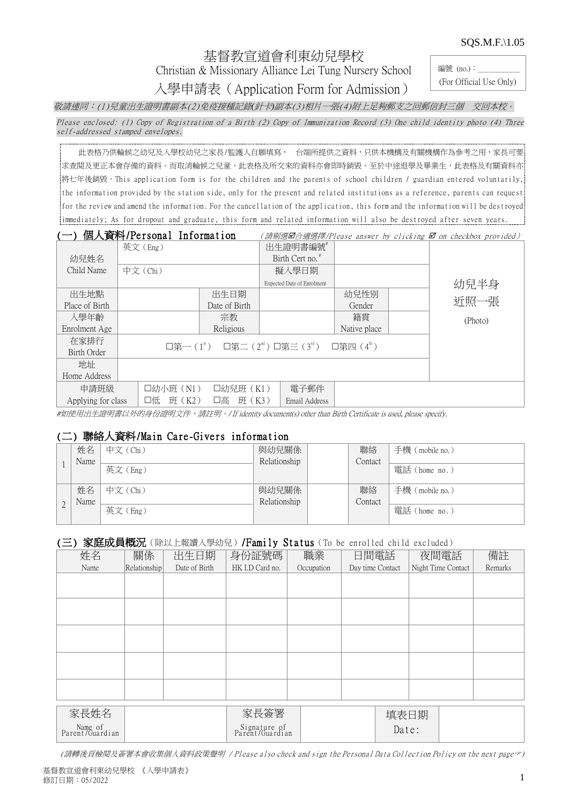SQS.M.F.\1.05

# 基督教宣道會利東幼兒學校

Christian & Missionary Alliance Lei Tung Nursery School

入學申請表(Application Form for Admission)

編號 (no.): (For Official Use Only)

敬請連同:(1)兒童出生證明書副本(2)免疫接種記錄*(*針卡*)*副本(3)相片一張(4)附上足夠郵支之回郵信封三個 交回本校。

Please enclosed: (1) Copy of Registration of a Birth (2) Copy of Immunization Record (3) One child identity photo (4) Three self-addressed stamped envelopes.

此表格乃供輪候之幼兒及入學校幼兒之家長/監護人自願填寫, 台端所提供之資料,只供本機構及有關機構作為參考之用,家長可要 求查閱及更正本會存備的資料。而取消輪候之兒童,此表格及所交來的資料亦會即時銷毀。至於中途退學及畢業生,此表格及有關資料亦 將七年後銷毀。This application form is for the children and the parents of school children / guardian entered voluntarily, the information provided by the station side, only for the present and related institutions as a reference, parents can request for the review and amend the information. For the cancellation of the application, this form and the information will be destroyed immediately; As for dropout and graduate, this form and related information will also be destroyed after seven years.

|                    | 個人資料/Personal Information |               |                                                                                    |                        | (請剔選0合適選擇/Please answer by clicking 0 on checkbox provided) |
|--------------------|---------------------------|---------------|------------------------------------------------------------------------------------|------------------------|-------------------------------------------------------------|
|                    | 英文(Eng)                   |               | 出生證明書編號                                                                            |                        |                                                             |
| 幼兒姓名               |                           |               | Birth Cert no. <sup>#</sup>                                                        |                        |                                                             |
| Child Name         | 中文 (Chi)                  |               | 擬入學日期                                                                              |                        |                                                             |
|                    |                           |               | Expected Date of Enrolment                                                         |                        | 幼兒半身                                                        |
| 出生地點               |                           | 出生日期          |                                                                                    | 幼兒性別                   |                                                             |
| Place of Birth     |                           | Date of Birth |                                                                                    | Gender                 | 近照一張                                                        |
| 入學年齡               |                           | 宗教            |                                                                                    | 籍貫                     | (Photo)                                                     |
| Enrolment Age      |                           | Religious     |                                                                                    | Native place           |                                                             |
| 在家排行               |                           |               | $\square$ 第一 $(1^s)$ $\square$ 第二 $(2^{\text{nd}})$ $\square$ 第三 $(3^{\text{rd}})$ | □第四 (4 <sup>th</sup> ) |                                                             |
| Birth Order        |                           |               |                                                                                    |                        |                                                             |
| 地址                 |                           |               |                                                                                    |                        |                                                             |
| Home Address       |                           |               |                                                                                    |                        |                                                             |
| 申請班級               | 口幼小班 (N1)                 | □幼兒班 (K1)     | 電子郵件                                                                               |                        |                                                             |
| Applying for class | 班 (K2)<br>口低              | 班 (K3)<br>口高  | Email Address                                                                      |                        |                                                             |

#如使用出生證明書以外的身份證明文件,請註明。/ If identity document(s) other than Birth Certificate is used, please specify.

### (二) 聯絡人資料/Main Care-Givers information

|   | 姓名   | 中文 (Chi) | 與幼兒關係        | 聯絡      | 手機 (mobile no.) |
|---|------|----------|--------------|---------|-----------------|
|   | Name |          | Relationship | Contact |                 |
|   |      | 英文(Eng)  |              |         | 電話 (home no.)   |
|   |      |          |              |         |                 |
|   | 姓名   | 中文 (Chi) | 與幼兒關係        | 聯絡      | 手機 (mobile no.) |
|   | Name |          | Relationship | Contact |                 |
| ∠ |      | 英文(Eng)  |              |         | 電話 (home no.)   |

## (三) 家庭成員概況(除以上報讀入學幼兒)/Family Status (To be enrolled child excluded)

| 姓名                         | 關係           | 出生日期          | 身份証號碼                           | 職業         | 日間電話             |       | 夜間電話               | 備註      |
|----------------------------|--------------|---------------|---------------------------------|------------|------------------|-------|--------------------|---------|
| Name                       | Relationship | Date of Birth | HK I.D Card no.                 | Occupation | Day time Contact |       | Night Time Contact | Remarks |
|                            |              |               |                                 |            |                  |       |                    |         |
|                            |              |               |                                 |            |                  |       |                    |         |
|                            |              |               |                                 |            |                  |       |                    |         |
|                            |              |               |                                 |            |                  |       |                    |         |
|                            |              |               |                                 |            |                  |       |                    |         |
|                            |              |               |                                 |            |                  |       |                    |         |
|                            |              |               |                                 |            |                  |       |                    |         |
|                            |              |               |                                 |            |                  |       |                    |         |
|                            |              |               |                                 |            |                  |       |                    |         |
|                            |              |               |                                 |            |                  |       |                    |         |
|                            |              |               |                                 |            |                  |       |                    |         |
|                            |              |               |                                 |            |                  |       |                    |         |
|                            |              |               |                                 |            |                  |       |                    |         |
|                            |              |               |                                 |            |                  |       |                    |         |
| 家長姓名                       |              |               | 家長簽署                            |            |                  | 填表日期  |                    |         |
| Name of<br>Parent/Guardian |              |               | Signature of<br>Parent/Guardian |            |                  | Date: |                    |         |

(請轉後頁檢閱及簽署本會收集個人資料政策聲明 / Please also check and sign the Personal Data Collection Policy on the next page)